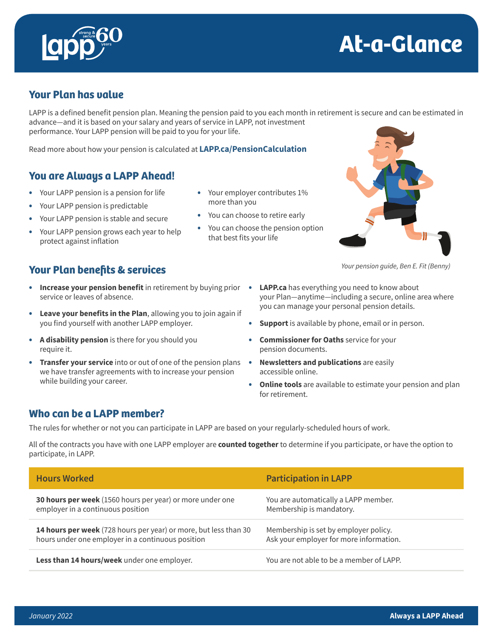



## **Your Plan has value**

LAPP is a defined benefit pension plan. Meaning the pension paid to you each month in retirement is secure and can be estimated in advance—and it is based on your salary and years of service in LAPP, not investment performance. Your LAPP pension will be paid to you for your life.

Read more about how your pension is calculated at **[LAPP.ca/PensionCalculation](https://www.lapp.ca/pensioncalculation)**

## **You are Always a LAPP Ahead!**

- Your LAPP pension is a pension for life
- Your LAPP pension is predictable
- Your LAPP pension is stable and secure
- Your LAPP pension grows each year to help protect against inflation
- Your employer contributes 1% more than you
- You can choose to retire early
- You can choose the pension option that best fits your life



*Your pension guide, Ben E. Fit (Benny)*

#### **Your Plan benefits & services**

- **Increase your pension benefit** in retirement by buying prior service or leaves of absence.
- **Leave your benefits in the Plan**, allowing you to join again if you find yourself with another LAPP employer.
- **A disability pension** is there for you should you require it.
- **Transfer your service** into or out of one of the pension plans we have transfer agreements with to increase your pension while building your career.
- **LAPP.ca** has everything you need to know about your Plan—anytime—including a secure, online area where you can manage your personal pension details.
- **Support** is available by phone, email or in person.
- **Commissioner for Oaths** service for your pension documents.
- **Newsletters and publications** are easily accessible online.
- **Online tools** are available to estimate your pension and plan for retirement.

#### **Who can be a LAPP member?**

The rules for whether or not you can participate in LAPP are based on your regularly-scheduled hours of work.

All of the contracts you have with one LAPP employer are **counted together** to determine if you participate, or have the option to participate, in LAPP.

| <b>Hours Worked</b>                                              | <b>Participation in LAPP</b>             |
|------------------------------------------------------------------|------------------------------------------|
| 30 hours per week (1560 hours per year) or more under one        | You are automatically a LAPP member.     |
| employer in a continuous position                                | Membership is mandatory.                 |
| 14 hours per week (728 hours per year) or more, but less than 30 | Membership is set by employer policy.    |
| hours under one employer in a continuous position                | Ask your employer for more information.  |
| Less than 14 hours/week under one employer.                      | You are not able to be a member of LAPP. |